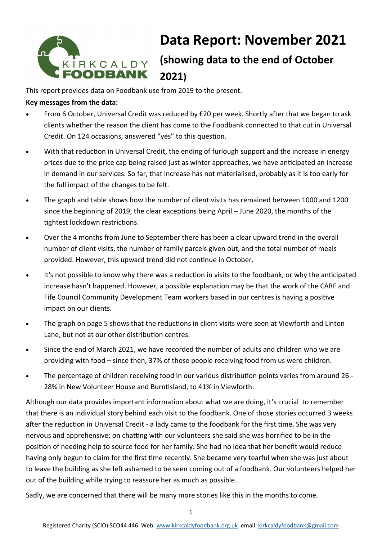

# **Data Report: November 2021**

## **(showing data to the end of October 2021)**

This report provides data on Foodbank use from 2019 to the present.

#### **Key messages from the data:**

- From 6 October, Universal Credit was reduced by £20 per week. Shortly after that we began to ask clients whether the reason the client has come to the Foodbank connected to that cut in Universal Credit. On 124 occasions, answered "yes" to this question.
- With that reduction in Universal Credit, the ending of furlough support and the increase in energy prices due to the price cap being raised just as winter approaches, we have anticipated an increase in demand in our services. So far, that increase has not materialised, probably as it is too early for the full impact of the changes to be felt.
- The graph and table shows how the number of client visits has remained between 1000 and 1200 since the beginning of 2019, the clear exceptions being April – June 2020, the months of the tightest lockdown restrictions.
- Over the 4 months from June to September there has been a clear upward trend in the overall number of client visits, the number of family parcels given out, and the total number of meals provided. However, this upward trend did not continue in October.
- It's not possible to know why there was a reduction in visits to the foodbank, or why the anticipated increase hasn't happened. However, a possible explanation may be that the work of the CARF and Fife Council Community Development Team workers based in our centres is having a positive impact on our clients.
- The graph on page 5 shows that the reductions in client visits were seen at Viewforth and Linton Lane, but not at our other distribution centres.
- Since the end of March 2021, we have recorded the number of adults and children who we are providing with food – since then, 37% of those people receiving food from us were children.
- The percentage of children receiving food in our various distribution points varies from around 26 28% in New Volunteer House and Burntisland, to 41% in Viewforth.

Although our data provides important information about what we are doing, it's crucial to remember that there is an individual story behind each visit to the foodbank. One of those stories occurred 3 weeks after the reduction in Universal Credit - a lady came to the foodbank for the first time. She was very nervous and apprehensive; on chatting with our volunteers she said she was horrified to be in the position of needing help to source food for her family. She had no idea that her benefit would reduce having only begun to claim for the first time recently. She became very tearful when she was just about to leave the building as she left ashamed to be seen coming out of a foodbank. Our volunteers helped her out of the building while trying to reassure her as much as possible.

Sadly, we are concerned that there will be many more stories like this in the months to come.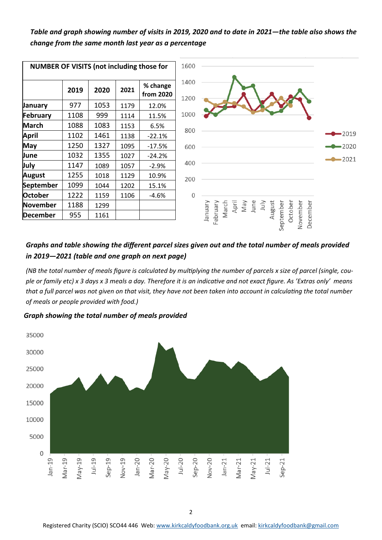#### *Table and graph showing number of visits in 2019, 2020 and to date in 2021—the table also shows the change from the same month last year as a percentage*



#### *Graphs and table showing the different parcel sizes given out and the total number of meals provided in 2019—2021 (table and one graph on next page)*

*(NB the total number of meals figure is calculated by multiplying the number of parcels x size of parcel (single, couple or family etc) x 3 days x 3 meals a day. Therefore it is an indicative and not exact figure. As 'Extras only' means that a full parcel was not given on that visit, they have not been taken into account in calculating the total number of meals or people provided with food.)* 

*Graph showing the total number of meals provided* 

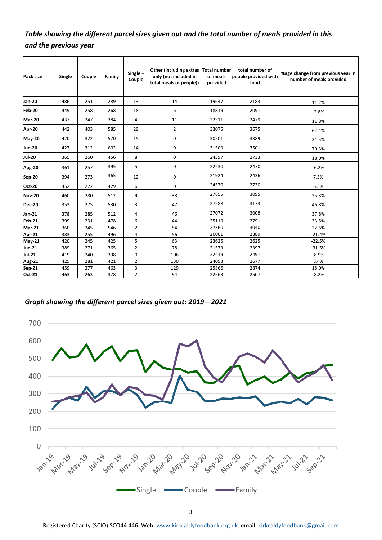### *Table showing the different parcel sizes given out and the total number of meals provided in this and the previous year*

| Pack size     | Single | Couple | Family | Single +<br>Couple | Other (including extras Total number<br>only (not included in<br>total meals or people)) | of meals<br>provided | total number of<br>people provided with<br>food | %age change from previous year in<br>number of meals provided |  |  |  |
|---------------|--------|--------|--------|--------------------|------------------------------------------------------------------------------------------|----------------------|-------------------------------------------------|---------------------------------------------------------------|--|--|--|
| Jan-20        | 486    | 251    | 289    | 13                 | 14                                                                                       | 19647                | 2183                                            | 11.2%                                                         |  |  |  |
| <b>Feb-20</b> | 449    | 258    | 268    | 18                 | 6                                                                                        | 18819                | 2091                                            | $-2.8%$                                                       |  |  |  |
| <b>Mar-20</b> | 437    | 247    | 384    | 4                  | 11                                                                                       | 22311                | 2479                                            | 11.8%                                                         |  |  |  |
| Apr-20        | 442    | 403    | 585    | 29                 | $\overline{2}$                                                                           | 33075                | 3675                                            | 62.4%                                                         |  |  |  |
| <b>May-20</b> | 420    | 322    | 570    | 15                 | 0                                                                                        | 30501                | 3389                                            | 34.5%                                                         |  |  |  |
| Jun-20        | 427    | 312    | 602    | 14                 | 0                                                                                        | 31509                | 3501                                            | 70.3%                                                         |  |  |  |
| Jul-20        | 365    | 260    | 456    | 8                  | 0                                                                                        | 24597                | 2733                                            | 18.0%                                                         |  |  |  |
| <b>Aug-20</b> | 361    | 257    | 395    | 5                  | 0                                                                                        | 22230                | 2470                                            | $-6.2%$                                                       |  |  |  |
| Sep-20        | 394    | 273    | 365    | 12                 | 0                                                                                        | 21924                | 2436                                            | 7.5%                                                          |  |  |  |
| <b>Oct 20</b> | 452    | 272    | 429    | 6                  | 0                                                                                        | 24570                | 2730                                            | 6.3%                                                          |  |  |  |
| <b>Nov-20</b> | 460    | 280    | 512    | 9                  | 38                                                                                       | 27855                | 3095                                            | 25.3%                                                         |  |  |  |
| <b>Dec-20</b> | 353    | 275    | 530    | 3                  | 47                                                                                       | 27288                | 3173                                            | 46.8%                                                         |  |  |  |
| Jan-21        | 378    | 285    | 512    | 4                  | 46                                                                                       | 27072                | 3008                                            | 37.8%                                                         |  |  |  |
| <b>Feb-21</b> | 399    | 231    | 478    | 6                  | 44                                                                                       | 25119<br>2791        |                                                 | 33.5%                                                         |  |  |  |
| <b>Mar-21</b> | 360    | 245    | 546    | $\overline{2}$     | 54                                                                                       | 27360                | 3040                                            | 22.6%                                                         |  |  |  |
| Apr-21        | 383    | 255    | 496    | 4                  | 56                                                                                       | 26001                | 2889                                            | $-21.4%$                                                      |  |  |  |
| May-21        | 420    | 245    | 425    | 5                  | 63                                                                                       | 23625                | 2625                                            | $-22.5%$                                                      |  |  |  |
| Jun-21        | 389    | 271    | 365    | $\overline{2}$     | 78                                                                                       | 21573                | 2397                                            | $-31.5%$                                                      |  |  |  |
| Jul-21        | 419    | 240    | 398    | $\mathbf 0$        | 106                                                                                      | 22419                | 2491                                            | $-8.9%$                                                       |  |  |  |
| Aug-21        | 425    | 281    | 421    | $\overline{2}$     | 130                                                                                      | 24093                | 2677                                            | 8.4%                                                          |  |  |  |
| Sep 21        | 459    | 277    | 463    | 3                  | 129                                                                                      | 25866                | 2874                                            | 18.0%                                                         |  |  |  |
| <b>Oct 21</b> | 463    | 263    | 378    | $\overline{2}$     | 94                                                                                       | 22563                | 2507                                            | $-8.2%$                                                       |  |  |  |

#### *Graph showing the different parcel sizes given out: 2019—2021*



Registered Charity (SCIO) SCO44 446 Web: [www.kirkcaldyfoodbank.org.uk](http://www.kirkcaldyfoodbank.org.uk) email: [kirkcaldyfoodbank@gmail.com](mailto:mailtokirkcaldyfoodbank@gmail.com)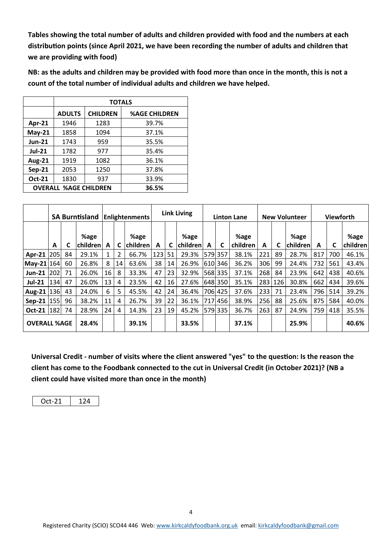**Tables showing the total number of adults and children provided with food and the numbers at each distribution points (since April 2021, we have been recording the number of adults and children that we are providing with food)**

**NB: as the adults and children may be provided with food more than once in the month, this is not a count of the total number of individual adults and children we have helped.** 

|               | <b>TOTALS</b>                |                 |                      |  |  |  |  |  |  |  |
|---------------|------------------------------|-----------------|----------------------|--|--|--|--|--|--|--|
|               | <b>ADULTS</b>                | <b>CHILDREN</b> | <b>%AGE CHILDREN</b> |  |  |  |  |  |  |  |
| Apr-21        | 1946                         | 1283            | 39.7%                |  |  |  |  |  |  |  |
| $May-21$      | 1858                         | 1094            | 37.1%                |  |  |  |  |  |  |  |
| <b>Jun-21</b> | 1743                         | 959             | 35.5%                |  |  |  |  |  |  |  |
| <b>Jul-21</b> | 1782                         | 977             | 35.4%                |  |  |  |  |  |  |  |
| <b>Aug-21</b> | 1919                         | 1082            | 36.1%                |  |  |  |  |  |  |  |
| $Sep-21$      | 2053                         | 1250            | 37.8%                |  |  |  |  |  |  |  |
| Oct-21        | 1830                         | 937             | 33.9%                |  |  |  |  |  |  |  |
|               | <b>OVERALL %AGE CHILDREN</b> | 36.5%           |                      |  |  |  |  |  |  |  |

|                     | <b>SA Burntisland</b> |    | <b>Enlightenments</b> |    | <b>Link Living</b> |                   | <b>Linton Lane</b> |    | <b>New Volunteer</b>    |   |         | <b>Viewforth</b> |     |     |                  |     |     |                  |
|---------------------|-----------------------|----|-----------------------|----|--------------------|-------------------|--------------------|----|-------------------------|---|---------|------------------|-----|-----|------------------|-----|-----|------------------|
|                     | A                     |    | %age<br>children      | A  |                    | %age<br> children | A                  | C  | %age<br><b>children</b> | A | C       | %age<br>children | A   | C   | %age<br>children | A   | C   | %age<br>children |
| Apr-21 205          |                       | 84 | 29.1%                 | 1  | 2                  | 66.7%             | 123                | 51 | 29.3%                   |   | 579 357 | 38.1%            | 221 | 89  | 28.7%            | 817 | 700 | 46.1%            |
| May-21 164          |                       | 60 | 26.8%                 | 8  | 14                 | 63.6%             | 38                 | 14 | 26.9%                   |   | 610 346 | 36.2%            | 306 | 99  | 24.4%            | 732 | 561 | 43.4%            |
| $Jun-21$            | 202                   | 71 | 26.0%                 | 16 | 8                  | 33.3%             | 47                 | 23 | 32.9%                   |   | 568 335 | 37.1%            | 268 | 84  | 23.9%            | 642 | 438 | 40.6%            |
| <b>Jul-21</b>       | 134                   | 47 | 26.0%                 | 13 | 4                  | 23.5%             | 42                 | 16 | 27.6%                   |   | 648 350 | 35.1%            | 283 | 126 | 30.8%            | 662 | 434 | 39.6%            |
| Aug-21  136         |                       | 43 | 24.0%                 | 6  | 5.                 | 45.5%             | 42                 | 24 | 36.4%                   |   | 706 425 | 37.6%            | 233 | 71  | 23.4%            | 796 | 514 | 39.2%            |
| Sep-21   155        |                       | 96 | 38.2%                 | 11 | 4                  | 26.7%             | 39                 | 22 | 36.1%                   |   | 717 456 | 38.9%            | 256 | 88  | 25.6%            | 875 | 584 | 40.0%            |
| Oct-21   182        |                       | 74 | 28.9%                 | 24 | 4                  | 14.3%             | 23                 | 19 | 45.2%                   |   | 579 335 | 36.7%            | 263 | 87  | 24.9%            | 759 | 418 | 35.5%            |
| <b>OVERALL %AGE</b> |                       |    | 28.4%                 |    |                    | 39.1%             |                    |    | 33.5%                   |   |         | 37.1%            |     |     | 25.9%            |     |     | 40.6%            |

**Universal Credit - number of visits where the client answered "yes" to the question: Is the reason the client has come to the Foodbank connected to the cut in Universal Credit (in October 2021)? (NB a client could have visited more than once in the month)**

|--|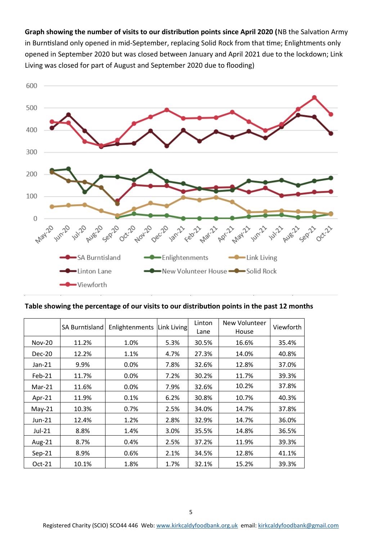**Graph showing the number of visits to our distribution points since April 2020 (**NB the Salvation Army in Burntisland only opened in mid-September, replacing Solid Rock from that time; Enlightments only opened in September 2020 but was closed between January and April 2021 due to the lockdown; Link Living was closed for part of August and September 2020 due to flooding)



#### **Table showing the percentage of our visits to our distribution points in the past 12 months**

|               | SA Burntisland | Enlightenments | Link Living | Linton<br>Lane | New Volunteer<br>House | Viewforth |
|---------------|----------------|----------------|-------------|----------------|------------------------|-----------|
| <b>Nov-20</b> | 11.2%          | 1.0%           | 5.3%        | 30.5%          | 16.6%                  | 35.4%     |
| $Dec-20$      | 12.2%          | 1.1%           | 4.7%        | 27.3%          | 14.0%                  | 40.8%     |
| Jan-21        | 9.9%           | 0.0%           | 7.8%        | 32.6%          | 12.8%                  | 37.0%     |
| Feb-21        | 11.7%          | 0.0%           | 7.2%        | 30.2%          | 11.7%                  | 39.3%     |
| $Mar-21$      | 11.6%          | $0.0\%$        | 7.9%        | 32.6%          | 10.2%                  | 37.8%     |
| Apr-21        | 11.9%          | 0.1%           | 6.2%        | 30.8%          | 10.7%                  | 40.3%     |
| $May-21$      | 10.3%          | 0.7%           | 2.5%        | 34.0%          | 14.7%                  | 37.8%     |
| $Jun-21$      | 12.4%          | 1.2%           | 2.8%        | 32.9%          | 14.7%                  | 36.0%     |
| Jul-21        | 8.8%           | 1.4%           | 3.0%        | 35.5%          | 14.8%                  | 36.5%     |
| Aug-21        | 8.7%           | 0.4%           | 2.5%        | 37.2%          | 11.9%                  | 39.3%     |
| $Sep-21$      | 8.9%           | 0.6%           | 2.1%        | 34.5%          | 12.8%                  | 41.1%     |
| $Oct-21$      | 10.1%          | 1.8%           | 1.7%        | 32.1%          | 15.2%                  | 39.3%     |